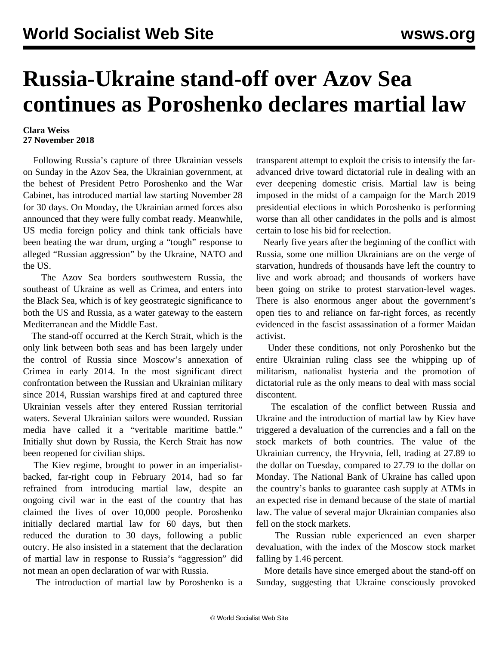## **Russia-Ukraine stand-off over Azov Sea continues as Poroshenko declares martial law**

## **Clara Weiss 27 November 2018**

 Following Russia's capture of three Ukrainian vessels on Sunday in the Azov Sea, the Ukrainian government, at the behest of President Petro Poroshenko and the War Cabinet, has introduced martial law starting November 28 for 30 days. On Monday, the Ukrainian armed forces also announced that they were fully combat ready. Meanwhile, US media foreign policy and think tank officials have been beating the war drum, urging a "tough" response to alleged "Russian aggression" by the Ukraine, NATO and the US.

 The Azov Sea borders southwestern Russia, the southeast of Ukraine as well as Crimea, and enters into the Black Sea, which is of key geostrategic significance to both the US and Russia, as a water gateway to the eastern Mediterranean and the Middle East.

 The stand-off occurred at the Kerch Strait, which is the only link between both seas and has been largely under the control of Russia since Moscow's annexation of Crimea in early 2014. In the most significant direct confrontation between the Russian and Ukrainian military since 2014, Russian warships fired at and captured three Ukrainian vessels after they entered Russian territorial waters. Several Ukrainian sailors were wounded. Russian media have called it a "veritable maritime battle." Initially shut down by Russia, the Kerch Strait has now been reopened for civilian ships.

 The Kiev regime, brought to power in an imperialistbacked, far-right coup in February 2014, had so far refrained from introducing martial law, despite an ongoing civil war in the east of the country that has claimed the lives of over 10,000 people. Poroshenko initially declared martial law for 60 days, but then reduced the duration to 30 days, following a public outcry. He also insisted in a statement that the declaration of martial law in response to Russia's "aggression" did not mean an open declaration of war with Russia.

The introduction of martial law by Poroshenko is a

transparent attempt to exploit the crisis to intensify the faradvanced drive toward dictatorial rule in dealing with an ever deepening domestic crisis. Martial law is being imposed in the midst of a campaign for the March 2019 presidential elections in which Poroshenko is performing worse than all other candidates in the polls and is almost certain to lose his bid for reelection.

 Nearly five years after the beginning of the conflict with Russia, some one million Ukrainians are on the verge of starvation, hundreds of thousands have left the country to live and work abroad; and thousands of workers have been going on strike to protest starvation-level wages. There is also enormous anger about the government's open ties to and reliance on far-right forces, as recently evidenced in the fascist assassination of a former Maidan activist.

 Under these conditions, not only Poroshenko but the entire Ukrainian ruling class see the whipping up of militarism, nationalist hysteria and the promotion of dictatorial rule as the only means to deal with mass social discontent.

 The escalation of the conflict between Russia and Ukraine and the introduction of martial law by Kiev have triggered a devaluation of the currencies and a fall on the stock markets of both countries. The value of the Ukrainian currency, the Hryvnia, fell, trading at 27.89 to the dollar on Tuesday, compared to 27.79 to the dollar on Monday. The National Bank of Ukraine has called upon the country's banks to guarantee cash supply at ATMs in an expected rise in demand because of the state of martial law. The value of several major Ukrainian companies also fell on the stock markets.

 The Russian ruble experienced an even sharper devaluation, with the index of the Moscow stock market falling by 1.46 percent.

 More details have since emerged about the stand-off on Sunday, suggesting that Ukraine consciously provoked